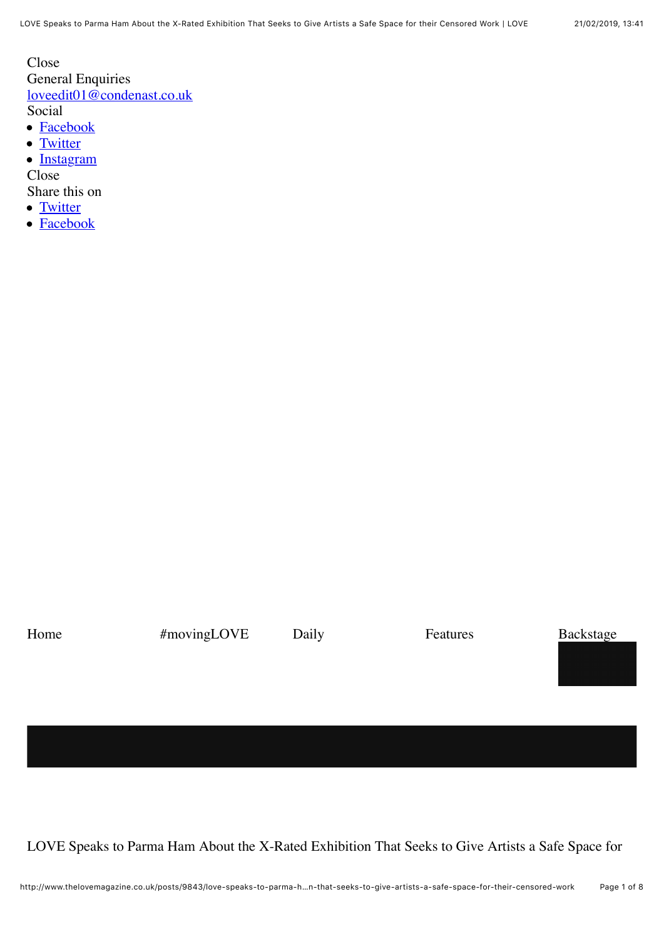Close General Enquiries [loveedit01@condenast.co.uk](mailto:loveedit01@condenast.co.uk) Social • **[Facebook](https://www.facebook.com/lovemagazine)** 

- [Twitter](https://twitter.com/thelovemagazine)
- 
- [Instagram](https://instagram.com/thelovemagazine/)

Close

- Share this on
- [Twitter](http://www.thelovemagazine.co.uk/posts/9843/love-speaks-to-parma-ham-about-the-x-rated-exhibition-that-seeks-to-give-artists-a-safe-space-for-their-censored-work#)
- [Facebook](http://www.thelovemagazine.co.uk/posts/9843/love-speaks-to-parma-ham-about-the-x-rated-exhibition-that-seeks-to-give-artists-a-safe-space-for-their-censored-work#)

Home #movingLOVE Daily Features Backstage

LOVE Speaks to Parma Ham About the X-Rated Exhibition That Seeks to Give Artists a Safe Space for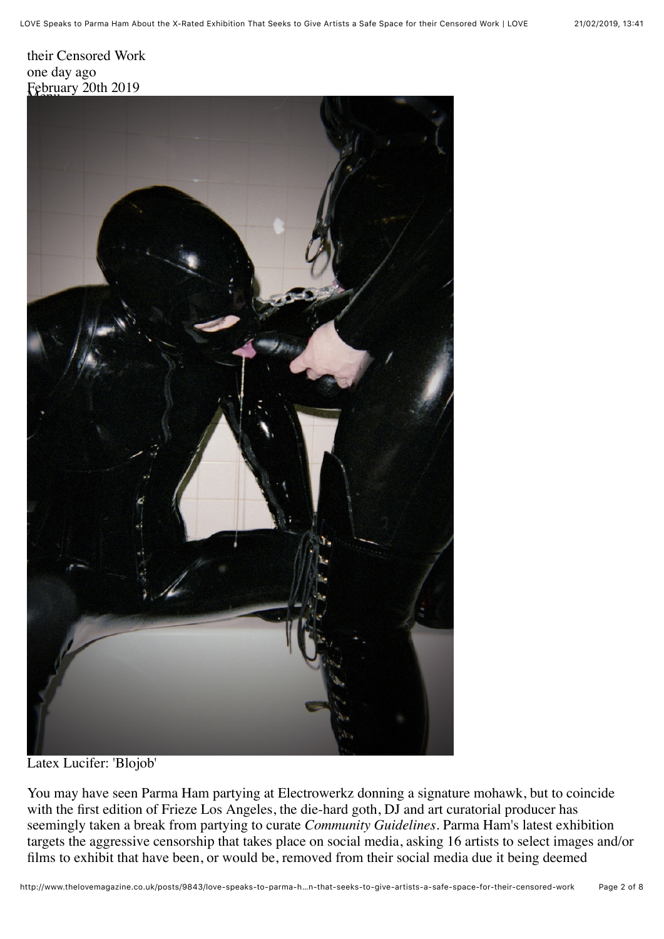

Latex Lucifer: 'Blojob'

You may have seen Parma Ham partying at Electrowerkz donning a signature mohawk, but to coincide with the first edition of Frieze Los Angeles, the die-hard goth, DJ and art curatorial producer has seemingly taken a break from partying to curate *Community Guidelines.* Parma Ham's latest exhibition targets the aggressive censorship that takes place on social media, asking 16 artists to select images and/or films to exhibit that have been, or would be, removed from their social media due it being deemed

LOVE Speaks to Parma Ham About the X-Rated Exhibition That Seeks to Give Artists a Safe Space for their Censored Work | LOVE 21/02/2019, 13)41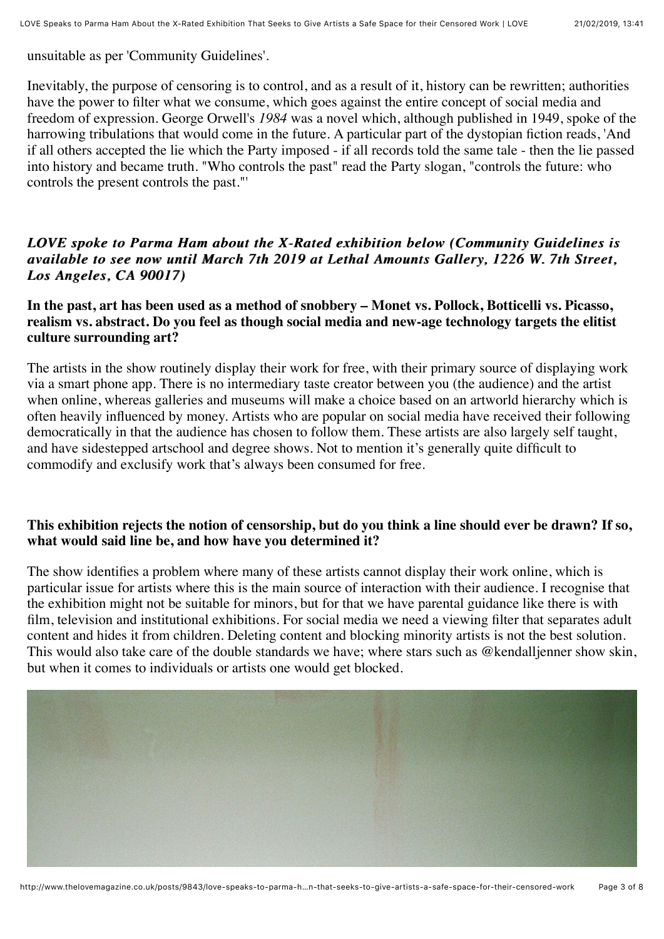unsuitable as per 'Community Guidelines'.

Inevitably, the purpose of censoring is to control, and as a result of it, history can be rewritten; authorities have the power to filter what we consume, which goes against the entire concept of social media and freedom of expression. George Orwell's *1984* was a novel which, although published in 1949, spoke of the harrowing tribulations that would come in the future. A particular part of the dystopian fiction reads, 'And if all others accepted the lie which the Party imposed - if all records told the same tale - then the lie passed into history and became truth. "Who controls the past" read the Party slogan, "controls the future: who controls the present controls the past."'

## *LOVE spoke to Parma Ham about the X-Rated exhibition below (Community Guidelines is LOVE spoke to Parma Ham about the X-Rated exhibition below (Community Guidelines is available to see now until March 7th 2019 at Lethal Amounts Gallery, 1226 W. 7th Street, Los Angeles, CA 90017) Los Angeles, CA 90017)*

## **In the past, art has been used as a method of snobbery – Monet vs. Pollock, Botticelli vs. Picasso, realism vs. abstract. Do you feel as though social media and new-age technology targets the elitist culture surrounding art?**

The artists in the show routinely display their work for free, with their primary source of displaying work via a smart phone app. There is no intermediary taste creator between you (the audience) and the artist when online, whereas galleries and museums will make a choice based on an artworld hierarchy which is often heavily influenced by money. Artists who are popular on social media have received their following democratically in that the audience has chosen to follow them. These artists are also largely self taught, and have sidestepped artschool and degree shows. Not to mention it's generally quite difficult to commodify and exclusify work that's always been consumed for free.

## **This exhibition rejects the notion of censorship, but do you think a line should ever be drawn? If so, what would said line be, and how have you determined it?**

The show identifies a problem where many of these artists cannot display their work online, which is particular issue for artists where this is the main source of interaction with their audience. I recognise that the exhibition might not be suitable for minors, but for that we have parental guidance like there is with film, television and institutional exhibitions. For social media we need a viewing filter that separates adult content and hides it from children. Deleting content and blocking minority artists is not the best solution. This would also take care of the double standards we have; where stars such as @kendalljenner show skin, but when it comes to individuals or artists one would get blocked.

![](_page_2_Picture_9.jpeg)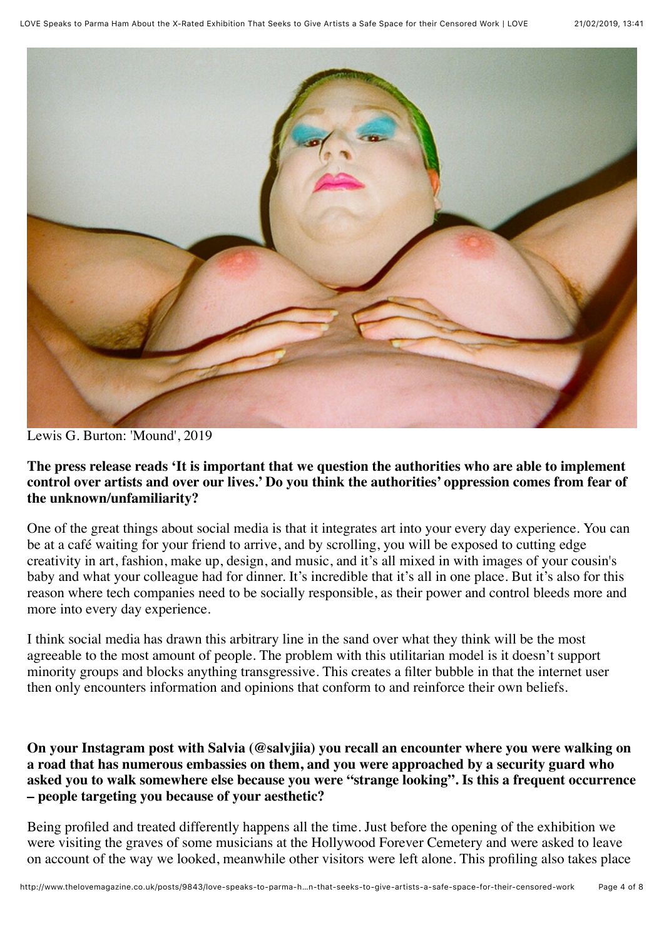![](_page_3_Picture_2.jpeg)

Lewis G. Burton: 'Mound', 2019

**The press release reads 'It is important that we question the authorities who are able to implement control over artists and over our lives.' Do you think the authorities' oppression comes from fear of the unknown/unfamiliarity?**

One of the great things about social media is that it integrates art into your every day experience. You can be at a café waiting for your friend to arrive, and by scrolling, you will be exposed to cutting edge creativity in art, fashion, make up, design, and music, and it's all mixed in with images of your cousin's baby and what your colleague had for dinner. It's incredible that it's all in one place. But it's also for this reason where tech companies need to be socially responsible, as their power and control bleeds more and more into every day experience.

I think social media has drawn this arbitrary line in the sand over what they think will be the most agreeable to the most amount of people. The problem with this utilitarian model is it doesn't support minority groups and blocks anything transgressive. This creates a filter bubble in that the internet user then only encounters information and opinions that conform to and reinforce their own beliefs.

**On your Instagram post with Salvia (@salvjiia) you recall an encounter where you were walking on a road that has numerous embassies on them, and you were approached by a security guard who asked you to walk somewhere else because you were "strange looking". Is this a frequent occurrence – people targeting you because of your aesthetic?**

Being profiled and treated differently happens all the time. Just before the opening of the exhibition we were visiting the graves of some musicians at the Hollywood Forever Cemetery and were asked to leave on account of the way we looked, meanwhile other visitors were left alone. This profiling also takes place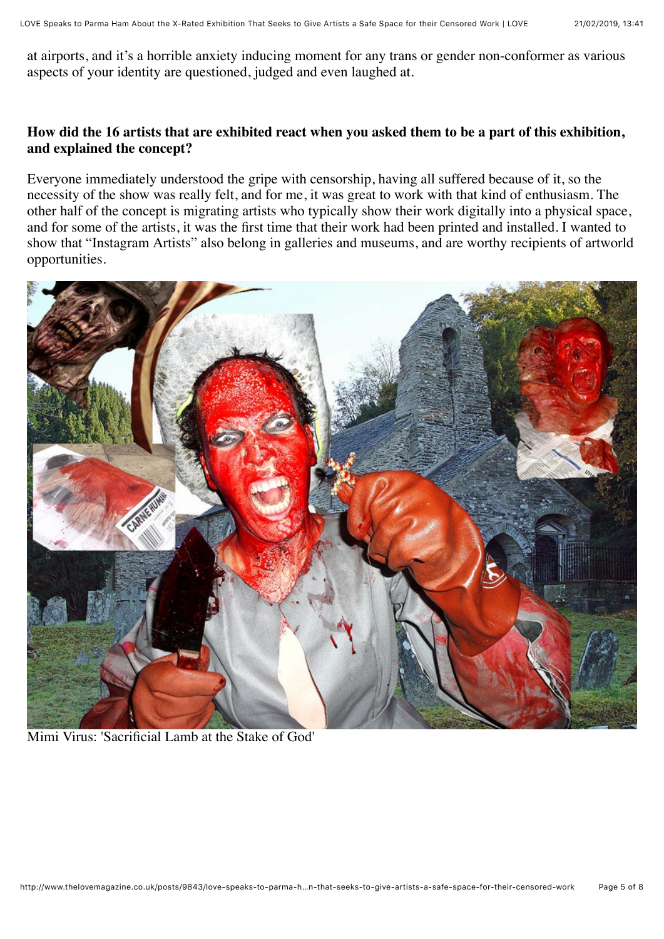at airports, and it's a horrible anxiety inducing moment for any trans or gender non-conformer as various aspects of your identity are questioned, judged and even laughed at.

## **How did the 16 artists that are exhibited react when you asked them to be a part of this exhibition, and explained the concept?**

Everyone immediately understood the gripe with censorship, having all suffered because of it, so the necessity of the show was really felt, and for me, it was great to work with that kind of enthusiasm. The other half of the concept is migrating artists who typically show their work digitally into a physical space, and for some of the artists, it was the first time that their work had been printed and installed. I wanted to show that "Instagram Artists" also belong in galleries and museums, and are worthy recipients of artworld opportunities.

![](_page_4_Picture_5.jpeg)

Mimi Virus: 'Sacrificial Lamb at the Stake of God'